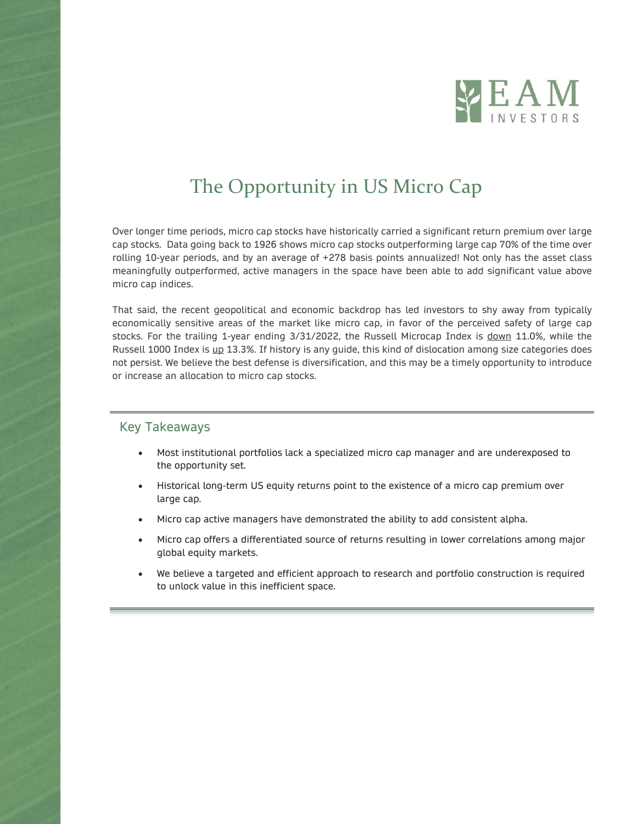

# The Opportunity in US Micro Cap

Over longer time periods, micro cap stocks have historically carried a significant return premium over large cap stocks. Data going back to 1926 shows micro cap stocks outperforming large cap 70% of the time over rolling 10-year periods, and by an average of +278 basis points annualized! Not only has the asset class meaningfully outperformed, active managers in the space have been able to add significant value above micro cap indices.

That said, the recent geopolitical and economic backdrop has led investors to shy away from typically economically sensitive areas of the market like micro cap, in favor of the perceived safety of large cap stocks. For the trailing 1-year ending 3/31/2022, the Russell Microcap Index is down 11.0%, while the Russell 1000 Index is up 13.3%. If history is any guide, this kind of dislocation among size categories does not persist. We believe the best defense is diversification, and this may be a timely opportunity to introduce or increase an allocation to micro cap stocks.

#### Key Takeaways

- Most institutional portfolios lack a specialized micro cap manager and are underexposed to the opportunity set.
- Historical long-term US equity returns point to the existence of a micro cap premium over large cap.
- Micro cap active managers have demonstrated the ability to add consistent alpha.
- Micro cap offers a differentiated source of returns resulting in lower correlations among major global equity markets.
- We believe a targeted and efficient approach to research and portfolio construction is required to unlock value in this inefficient space.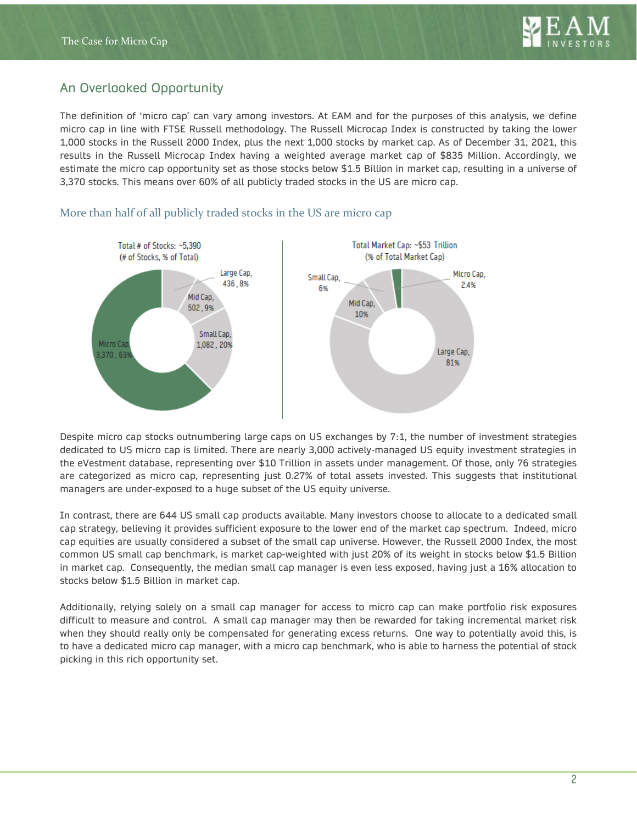

# An Overlooked Opportunity

The definition of 'micro cap' can vary among investors. At EAM and for the purposes of this analysis, we define micro cap in line with FTSE Russell methodology. The Russell Microcap Index is constructed by taking the lower 1,000 stocks in the Russell 2000 Index, plus the next 1,000 stocks by market cap. As of December 31, 2021, this results in the Russell Microcap Index having a weighted average market cap of \$835 Million. Accordingly, we estimate the micro cap opportunity set as those stocks below \$1.5 Billion in market cap, resulting in a universe of 3,370 stocks. This means over 60% of all publicly traded stocks in the US are micro cap.



#### More than half of all publicly traded stocks in the US are micro cap

Despite micro cap stocks outnumbering large caps on US exchanges by 7:1, the number of investment strategies dedicated to US micro cap is limited. There are nearly 3,000 actively-managed US equity investment strategies in the eVestment database, representing over \$10 Trillion in assets under management. Of those, only 76 strategies are categorized as micro cap, representing just 0.27% of total assets invested. This suggests that institutional managers are under-exposed to a huge subset of the US equity universe.

In contrast, there are 644 US small cap products available. Many investors choose to allocate to a dedicated small cap strategy, believing it provides sufficient exposure to the lower end of the market cap spectrum. Indeed, micro cap equities are usually considered a subset of the small cap universe. However, the Russell 2000 Index, the most common US small cap benchmark, is market cap-weighted with just 20% of its weight in stocks below \$1.5 Billion in market cap. Consequently, the median small cap manager is even less exposed, having just a 16% allocation to stocks below \$1.5 Billion in market cap.

Additionally, relying solely on a small cap manager for access to micro cap can make portfolio risk exposures difficult to measure and control. A small cap manager may then be rewarded for taking incremental market risk when they should really only be compensated for generating excess returns. One way to potentially avoid this, is to have a dedicated micro cap manager, with a micro cap benchmark, who is able to harness the potential of stock picking in this rich opportunity set.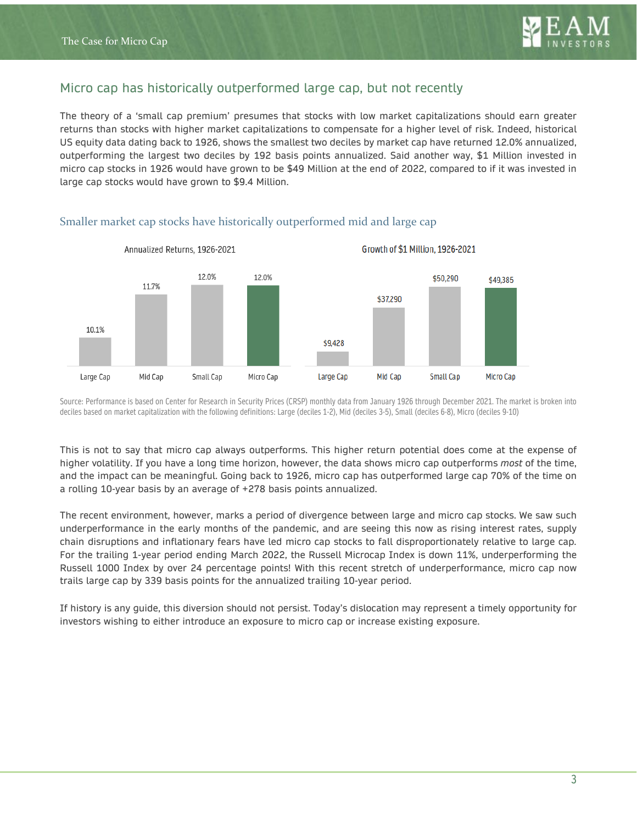# Micro cap has historically outperformed large cap, but not recently

The theory of a 'small cap premium' presumes that stocks with low market capitalizations should earn greater returns than stocks with higher market capitalizations to compensate for a higher level of risk. Indeed, historical US equity data dating back to 1926, shows the smallest two deciles by market cap have returned 12.0% annualized, outperforming the largest two deciles by 192 basis points annualized. Said another way, \$1 Million invested in micro cap stocks in 1926 would have grown to be \$49 Million at the end of 2022, compared to if it was invested in large cap stocks would have grown to \$9.4 Million.



#### Smaller market cap stocks have historically outperformed mid and large cap

Source: Performance is based on Center for Research in Security Prices (CRSP) monthly data from January 1926 through December 2021. The market is broken into deciles based on market capitalization with the following definitions: Large (deciles 1-2), Mid (deciles 3-5), Small (deciles 6-8), Micro (deciles 9-10)

This is not to say that micro cap always outperforms. This higher return potential does come at the expense of higher volatility. If you have a long time horizon, however, the data shows micro cap outperforms *most* of the time, and the impact can be meaningful. Going back to 1926, micro cap has outperformed large cap 70% of the time on a rolling 10-year basis by an average of +278 basis points annualized.

The recent environment, however, marks a period of divergence between large and micro cap stocks. We saw such underperformance in the early months of the pandemic, and are seeing this now as rising interest rates, supply chain disruptions and inflationary fears have led micro cap stocks to fall disproportionately relative to large cap. For the trailing 1-year period ending March 2022, the Russell Microcap Index is down 11%, underperforming the Russell 1000 Index by over 24 percentage points! With this recent stretch of underperformance, micro cap now trails large cap by 339 basis points for the annualized trailing 10-year period.

If history is any guide, this diversion should not persist. Today's dislocation may represent a timely opportunity for investors wishing to either introduce an exposure to micro cap or increase existing exposure.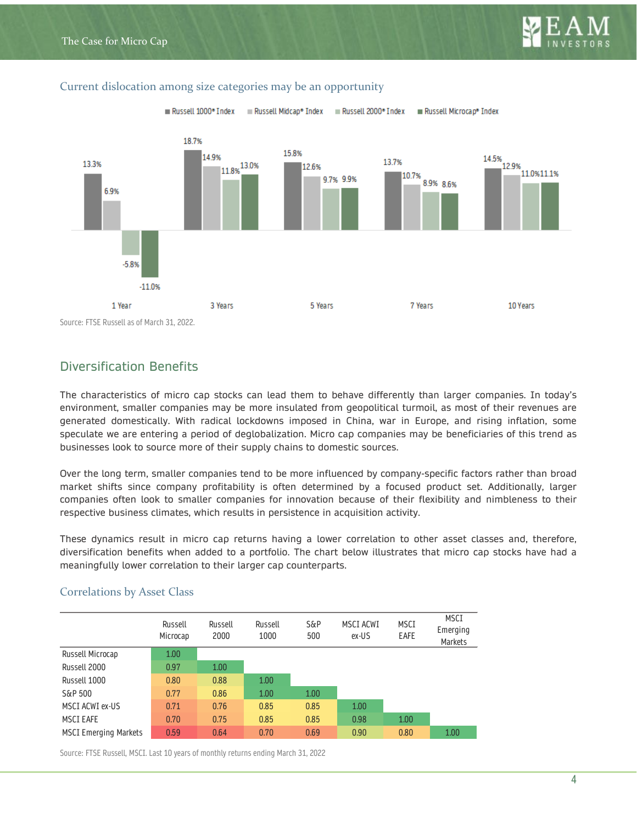



#### Current dislocation among size categories may be an opportunity

# Diversification Benefits

The characteristics of micro cap stocks can lead them to behave differently than larger companies. In today's environment, smaller companies may be more insulated from geopolitical turmoil, as most of their revenues are generated domestically. With radical lockdowns imposed in China, war in Europe, and rising inflation, some speculate we are entering a period of deglobalization. Micro cap companies may be beneficiaries of this trend as businesses look to source more of their supply chains to domestic sources.

Over the long term, smaller companies tend to be more influenced by company-specific factors rather than broad market shifts since company profitability is often determined by a focused product set. Additionally, larger companies often look to smaller companies for innovation because of their flexibility and nimbleness to their respective business climates, which results in persistence in acquisition activity.

These dynamics result in micro cap returns having a lower correlation to other asset classes and, therefore, diversification benefits when added to a portfolio. The chart below illustrates that micro cap stocks have had a meaningfully lower correlation to their larger cap counterparts.

|                              | Russell<br>Microcap | Russell<br>2000 | Russell<br>1000 | $S\&P$<br>500 | MSCI ACWI<br>ex-US | <b>MSCI</b><br>EAFE | MSCI<br>Emerging<br><b>Markets</b> |
|------------------------------|---------------------|-----------------|-----------------|---------------|--------------------|---------------------|------------------------------------|
| Russell Microcap             | 1.00                |                 |                 |               |                    |                     |                                    |
| Russell 2000                 | 0.97                | 1.00            |                 |               |                    |                     |                                    |
| Russell 1000                 | 0.80                | 0.88            | 1.00            |               |                    |                     |                                    |
| S&P 500                      | 0.77                | 0.86            | 1.00            | 1.00          |                    |                     |                                    |
| MSCI ACWI ex-US              | 0.71                | 0.76            | 0.85            | 0.85          | 1.00               |                     |                                    |
| <b>MSCI EAFE</b>             | 0.70                | 0.75            | 0.85            | 0.85          | 0.98               | 1.00                |                                    |
| <b>MSCI Emerging Markets</b> | 0.59                | 0.64            | 0.70            | 0.69          | 0.90               | 0.80                | 1.00                               |

### Correlations by Asset Class

Source: FTSE Russell, MSCI. Last 10 years of monthly returns ending March 31, 2022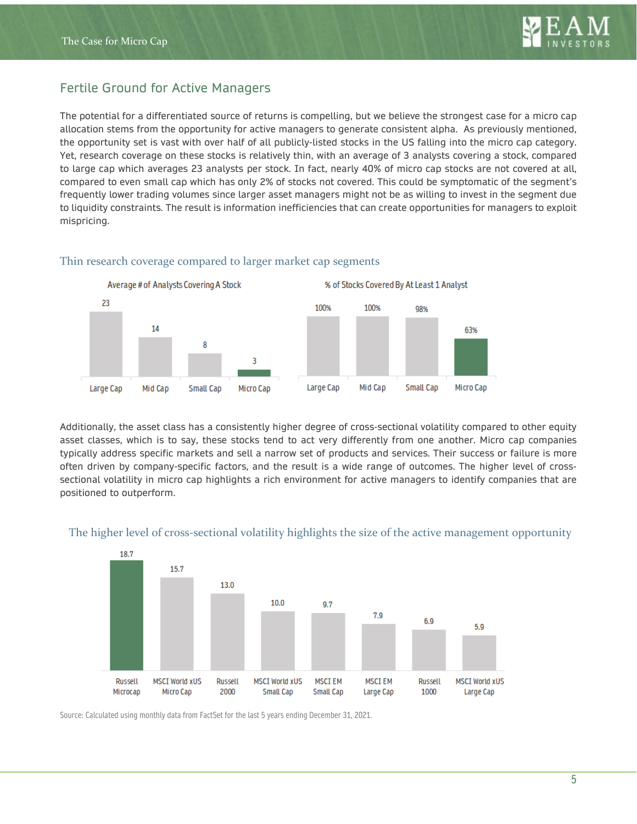

# Fertile Ground for Active Managers

The potential for a differentiated source of returns is compelling, but we believe the strongest case for a micro cap allocation stems from the opportunity for active managers to generate consistent alpha. As previously mentioned, the opportunity set is vast with over half of all publicly-listed stocks in the US falling into the micro cap category. Yet, research coverage on these stocks is relatively thin, with an average of 3 analysts covering a stock, compared to large cap which averages 23 analysts per stock. In fact, nearly 40% of micro cap stocks are not covered at all, compared to even small cap which has only 2% of stocks not covered. This could be symptomatic of the segment's frequently lower trading volumes since larger asset managers might not be as willing to invest in the segment due to liquidity constraints. The result is information inefficiencies that can create opportunities for managers to exploit mispricing.



#### Thin research coverage compared to larger market cap segments

Additionally, the asset class has a consistently higher degree of cross-sectional volatility compared to other equity asset classes, which is to say, these stocks tend to act very differently from one another. Micro cap companies typically address specific markets and sell a narrow set of products and services. Their success or failure is more often driven by company-specific factors, and the result is a wide range of outcomes. The higher level of crosssectional volatility in micro cap highlights a rich environment for active managers to identify companies that are positioned to outperform.



#### The higher level of cross-sectional volatility highlights the size of the active management opportunity

Source: Calculated using monthly data from FactSet for the last 5 years ending December 31, 2021.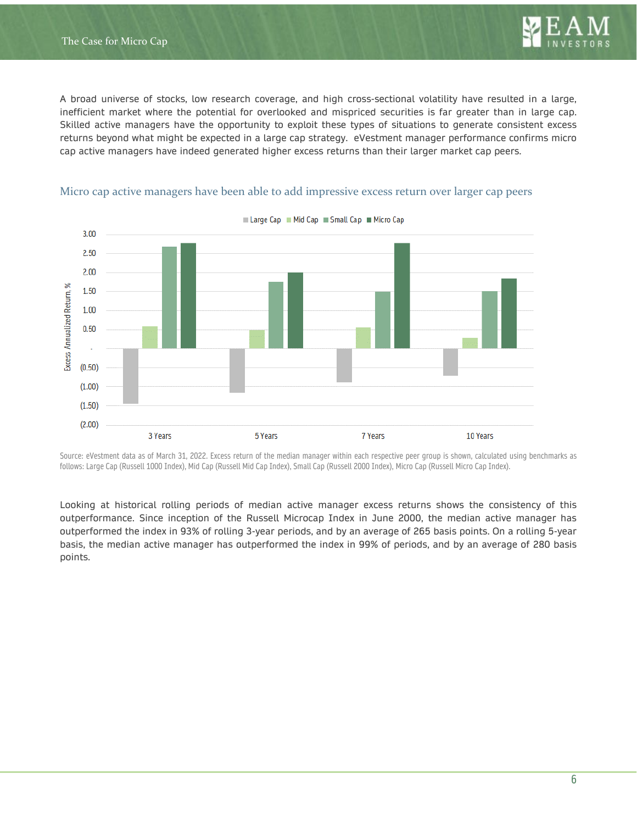

A broad universe of stocks, low research coverage, and high cross-sectional volatility have resulted in a large, inefficient market where the potential for overlooked and mispriced securities is far greater than in large cap. Skilled active managers have the opportunity to exploit these types of situations to generate consistent excess returns beyond what might be expected in a large cap strategy. eVestment manager performance confirms micro cap active managers have indeed generated higher excess returns than their larger market cap peers.



#### Micro cap active managers have been able to add impressive excess return over larger cap peers

Source: eVestment data as of March 31, 2022. Excess return of the median manager within each respective peer group is shown, calculated using benchmarks as follows: Large Cap (Russell 1000 Index), Mid Cap (Russell Mid Cap Index), Small Cap (Russell 2000 Index), Micro Cap (Russell Micro Cap Index).

Looking at historical rolling periods of median active manager excess returns shows the consistency of this outperformance. Since inception of the Russell Microcap Index in June 2000, the median active manager has outperformed the index in 93% of rolling 3-year periods, and by an average of 265 basis points. On a rolling 5-year basis, the median active manager has outperformed the index in 99% of periods, and by an average of 280 basis points.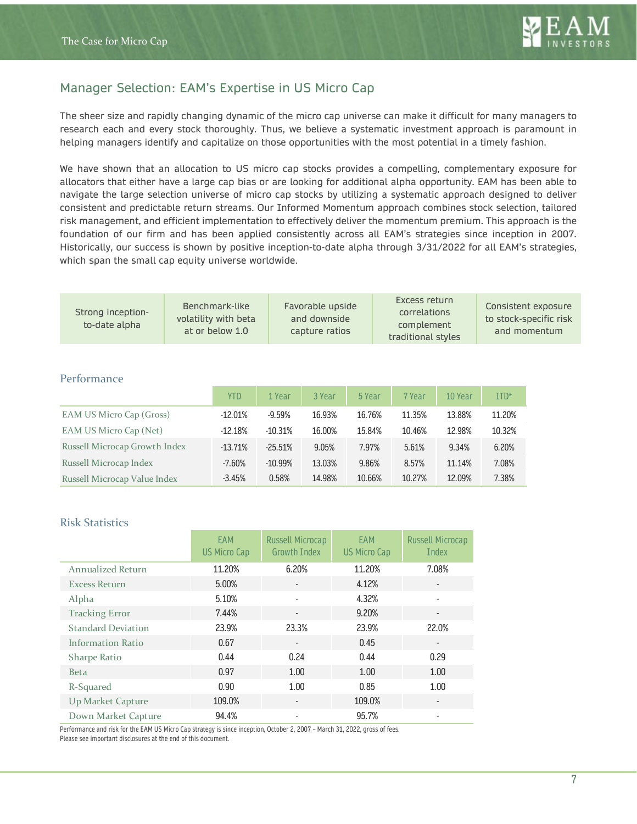

# Manager Selection: EAM's Expertise in US Micro Cap

The sheer size and rapidly changing dynamic of the micro cap universe can make it difficult for many managers to research each and every stock thoroughly. Thus, we believe a systematic investment approach is paramount in helping managers identify and capitalize on those opportunities with the most potential in a timely fashion.

We have shown that an allocation to US micro cap stocks provides a compelling, complementary exposure for allocators that either have a large cap bias or are looking for additional alpha opportunity. EAM has been able to navigate the large selection universe of micro cap stocks by utilizing a systematic approach designed to deliver consistent and predictable return streams. Our Informed Momentum approach combines stock selection, tailored risk management, and efficient implementation to effectively deliver the momentum premium. This approach is the foundation of our firm and has been applied consistently across all EAM's strategies since inception in 2007. Historically, our success is shown by positive inception-to-date alpha through 3/31/2022 for all EAM's strategies, which span the small cap equity universe worldwide.

| Strong inception-<br>to-date alpha | Benchmark-like<br>volatility with beta<br>at or below 1.0 | Favorable upside<br>and downside<br>capture ratios | Excess return<br>correlations<br>complement<br>traditional styles | Consistent exposure<br>to stock-specific risk<br>and momentum |
|------------------------------------|-----------------------------------------------------------|----------------------------------------------------|-------------------------------------------------------------------|---------------------------------------------------------------|
|                                    |                                                           |                                                    |                                                                   |                                                               |

#### Performance

|                               | <b>YTD</b> | 1 Year    | 3 Year | 5 Year | 7 Year | 10 Year | $ITD*$ |
|-------------------------------|------------|-----------|--------|--------|--------|---------|--------|
| EAM US Micro Cap (Gross)      | $-12.01%$  | $-9.59%$  | 16.93% | 16.76% | 11.35% | 13.88%  | 11.20% |
| EAM US Micro Cap (Net)        | $-12.18%$  | $-10.31%$ | 16.00% | 15.84% | 10.46% | 12.98%  | 10.32% |
| Russell Microcap Growth Index | $-13.71%$  | $-25.51%$ | 9.05%  | 7.97%  | 5.61%  | 9.34%   | 6.20%  |
| Russell Microcap Index        | $-7.60%$   | $-10.99%$ | 13.03% | 9.86%  | 8.57%  | 11.14%  | 7.08%  |
| Russell Microcap Value Index  | $-3.45%$   | 0.58%     | 14.98% | 10.66% | 10.27% | 12.09%  | 7.38%  |

#### Risk Statistics

|                           | EAM<br>US Micro Cap | Russell Microcap<br><b>Growth Index</b> | EAM<br>US Micro Cap | <b>Russell Microcap</b><br>Index |
|---------------------------|---------------------|-----------------------------------------|---------------------|----------------------------------|
| <b>Annualized Return</b>  | 11.20%              | 6.20%                                   | 11.20%              | 7.08%                            |
| <b>Excess Return</b>      | 5.00%               | $\overline{a}$                          | 4.12%               |                                  |
| Alpha                     | 5.10%               | $\qquad \qquad \blacksquare$            | 4.32%               |                                  |
| <b>Tracking Error</b>     | 7.44%               | $\overline{\phantom{a}}$                | 9.20%               |                                  |
| <b>Standard Deviation</b> | 23.9%               | 23.3%                                   | 23.9%               | 22.0%                            |
| Information Ratio         | 0.67                | $\qquad \qquad \blacksquare$            | 0.45                | $\overline{\phantom{a}}$         |
| <b>Sharpe Ratio</b>       | 0.44                | 0.24                                    | 0.44                | 0.29                             |
| <b>Beta</b>               | 0.97                | 1.00                                    | 1.00                | 1.00                             |
| R-Squared                 | 0.90                | 1.00                                    | 0.85                | 1.00                             |
| Up Market Capture         | 109.0%              | $\overline{\phantom{a}}$                | 109.0%              |                                  |
| Down Market Capture       | 94.4%               |                                         | 95.7%               |                                  |

Performance and risk for the EAM US Micro Cap strategy is since inception, October 2, 2007 – March 31, 2022, gross of fees.

Please see important disclosures at the end of this document.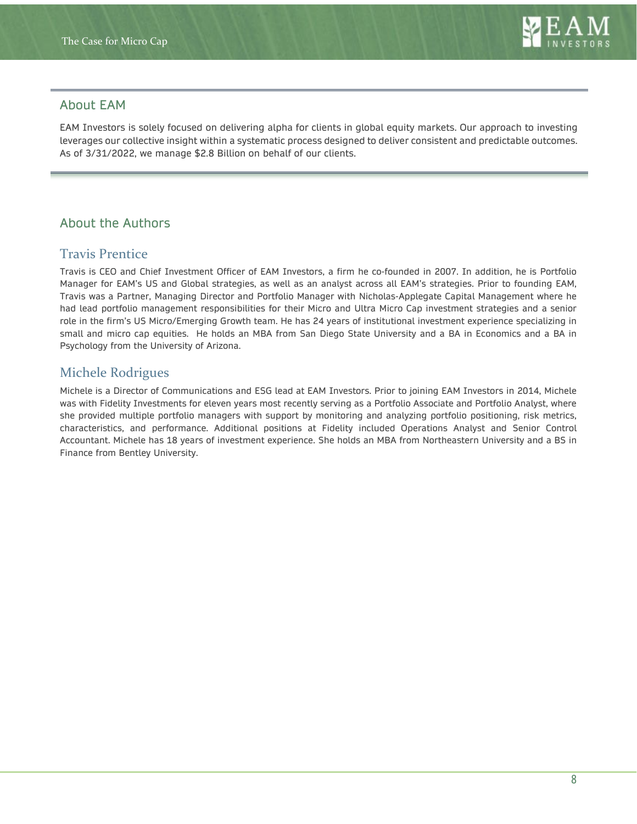

## About EAM

EAM Investors is solely focused on delivering alpha for clients in global equity markets. Our approach to investing leverages our collective insight within a systematic process designed to deliver consistent and predictable outcomes. As of 3/31/2022, we manage \$2.8 Billion on behalf of our clients.

# About the Authors

# Travis Prentice

Travis is CEO and Chief Investment Officer of EAM Investors, a firm he co-founded in 2007. In addition, he is Portfolio Manager for EAM's US and Global strategies, as well as an analyst across all EAM's strategies. Prior to founding EAM, Travis was a Partner, Managing Director and Portfolio Manager with Nicholas-Applegate Capital Management where he had lead portfolio management responsibilities for their Micro and Ultra Micro Cap investment strategies and a senior role in the firm's US Micro/Emerging Growth team. He has 24 years of institutional investment experience specializing in small and micro cap equities. He holds an MBA from San Diego State University and a BA in Economics and a BA in Psychology from the University of Arizona.

# Michele Rodrigues

Michele is a Director of Communications and ESG lead at EAM Investors. Prior to joining EAM Investors in 2014, Michele was with Fidelity Investments for eleven years most recently serving as a Portfolio Associate and Portfolio Analyst, where she provided multiple portfolio managers with support by monitoring and analyzing portfolio positioning, risk metrics, characteristics, and performance. Additional positions at Fidelity included Operations Analyst and Senior Control Accountant. Michele has 18 years of investment experience. She holds an MBA from Northeastern University and a BS in Finance from Bentley University.